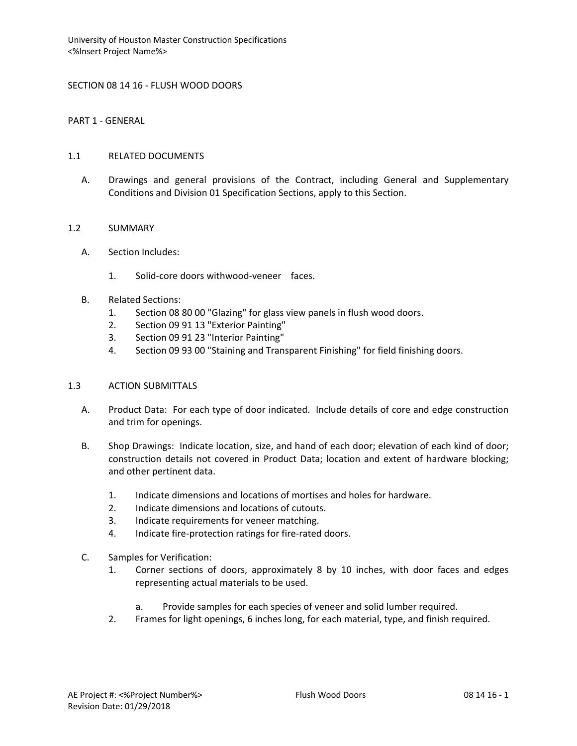### SECTION 08 14 16 - FLUSH WOOD DOORS

PART 1 - GENERAL

#### 1.1 RELATED DOCUMENTS

A. Drawings and general provisions of the Contract, including General and Supplementary Conditions and Division 01 Specification Sections, apply to this Section.

#### 1.2 SUMMARY

- A. Section Includes:
	- 1. Solid-core doors withwood-veneer faces.
- B. Related Sections:
	- 1. Section 08 80 00 "Glazing" for glass view panels in flush wood doors.
	- 2. Section 09 91 13 "Exterior Painting"
	- 3. Section 09 91 23 "Interior Painting"
	- 4. Section 09 93 00 "Staining and Transparent Finishing" for field finishing doors.

# 1.3 ACTION SUBMITTALS

- A. Product Data: For each type of door indicated. Include details of core and edge construction and trim for openings.
- B. Shop Drawings: Indicate location, size, and hand of each door; elevation of each kind of door; construction details not covered in Product Data; location and extent of hardware blocking; and other pertinent data.
	- 1. Indicate dimensions and locations of mortises and holes for hardware.
	- 2. Indicate dimensions and locations of cutouts.
	- 3. Indicate requirements for veneer matching.
	- 4. Indicate fire-protection ratings for fire-rated doors.
- C. Samples for Verification:
	- 1. Corner sections of doors, approximately 8 by 10 inches, with door faces and edges representing actual materials to be used.
		- a. Provide samples for each species of veneer and solid lumber required.
	- 2. Frames for light openings, 6 inches long, for each material, type, and finish required.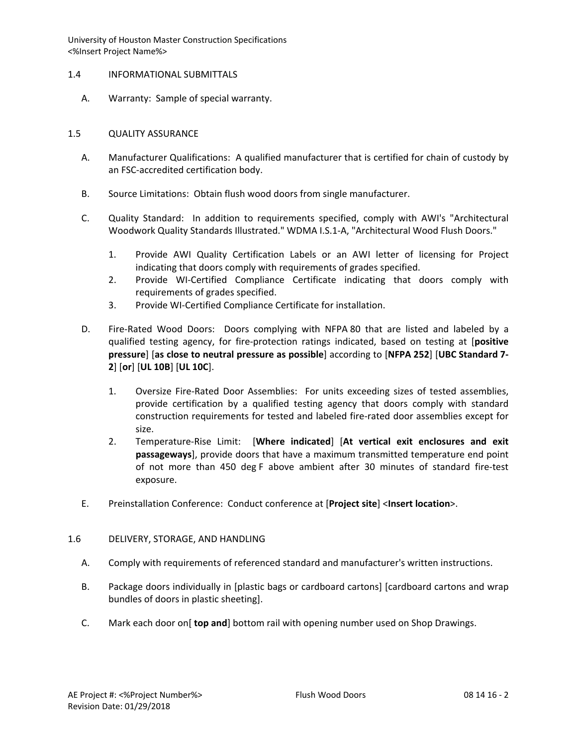- 1.4 INFORMATIONAL SUBMITTALS
	- A. Warranty: Sample of special warranty.

### 1.5 QUALITY ASSURANCE

- A. Manufacturer Qualifications: A qualified manufacturer that is certified for chain of custody by an FSC-accredited certification body.
- B. Source Limitations: Obtain flush wood doors from single manufacturer.
- C. Quality Standard: In addition to requirements specified, comply with AWI's "Architectural Woodwork Quality Standards Illustrated." WDMA I.S.1-A, "Architectural Wood Flush Doors."
	- 1. Provide AWI Quality Certification Labels or an AWI letter of licensing for Project indicating that doors comply with requirements of grades specified.
	- 2. Provide WI-Certified Compliance Certificate indicating that doors comply with requirements of grades specified.
	- 3. Provide WI-Certified Compliance Certificate for installation.
- D. Fire-Rated Wood Doors: Doors complying with NFPA 80 that are listed and labeled by a qualified testing agency, for fire-protection ratings indicated, based on testing at [**positive pressure**] [**as close to neutral pressure as possible**] according to [**NFPA 252**] [**UBC Standard 7- 2**] [**or**] [**UL 10B**] [**UL 10C**].
	- 1. Oversize Fire-Rated Door Assemblies: For units exceeding sizes of tested assemblies, provide certification by a qualified testing agency that doors comply with standard construction requirements for tested and labeled fire-rated door assemblies except for size.
	- 2. Temperature-Rise Limit: [**Where indicated**] [**At vertical exit enclosures and exit passageways**], provide doors that have a maximum transmitted temperature end point of not more than 450 deg F above ambient after 30 minutes of standard fire-test exposure.
- E. Preinstallation Conference: Conduct conference at [**Project site**] <**Insert location**>.

# 1.6 DELIVERY, STORAGE, AND HANDLING

- A. Comply with requirements of referenced standard and manufacturer's written instructions.
- B. Package doors individually in [plastic bags or cardboard cartons] [cardboard cartons and wrap bundles of doors in plastic sheeting].
- C. Mark each door on[ **top and**] bottom rail with opening number used on Shop Drawings.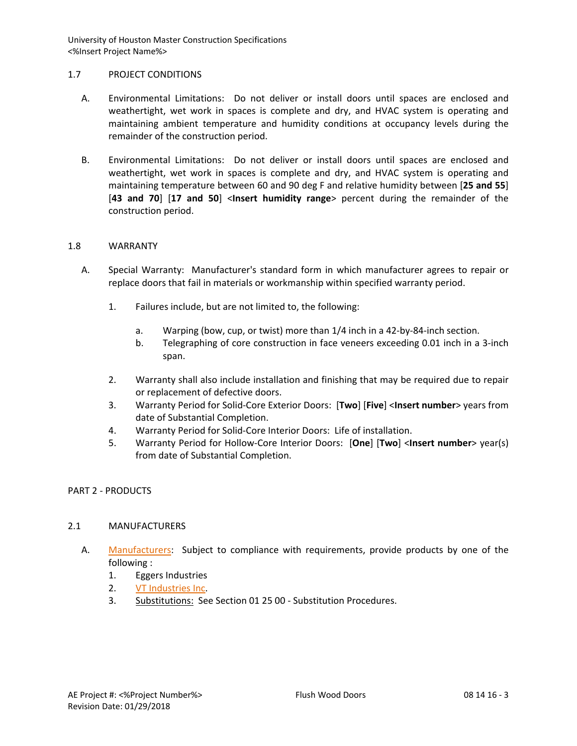### 1.7 PROJECT CONDITIONS

- A. Environmental Limitations: Do not deliver or install doors until spaces are enclosed and weathertight, wet work in spaces is complete and dry, and HVAC system is operating and maintaining ambient temperature and humidity conditions at occupancy levels during the remainder of the construction period.
- B. Environmental Limitations: Do not deliver or install doors until spaces are enclosed and weathertight, wet work in spaces is complete and dry, and HVAC system is operating and maintaining temperature between 60 and 90 deg F and relative humidity between [**25 and 55**] [**43 and 70**] [**17 and 50**] <**Insert humidity range**> percent during the remainder of the construction period.

### 1.8 WARRANTY

- A. Special Warranty: Manufacturer's standard form in which manufacturer agrees to repair or replace doors that fail in materials or workmanship within specified warranty period.
	- 1. Failures include, but are not limited to, the following:
		- a. Warping (bow, cup, or twist) more than 1/4 inch in a 42-by-84-inch section.
		- b. Telegraphing of core construction in face veneers exceeding 0.01 inch in a 3-inch span.
	- 2. Warranty shall also include installation and finishing that may be required due to repair or replacement of defective doors.
	- 3. Warranty Period for Solid-Core Exterior Doors: [**Two**] [**Five**] <**Insert number**> years from date of Substantial Completion.
	- 4. Warranty Period for Solid-Core Interior Doors: Life of installation.
	- 5. Warranty Period for Hollow-Core Interior Doors: [**One**] [**Two**] <**Insert number**> year(s) from date of Substantial Completion.

# PART 2 - PRODUCTS

# 2.1 MANUFACTURERS

- A. [Manufacturers:](http://www.specagent.com/LookUp/?ulid=4&mf=04&src=wd) Subject to compliance with requirements, provide products by one of the following :
	- 1. Eggers Industries
	- 2. [VT Industries Inc.](http://www.specagent.com/LookUp/?uid=123456789405&mf=04&src=wd)
	- 3. Substitutions: See Section 01 25 00 Substitution Procedures.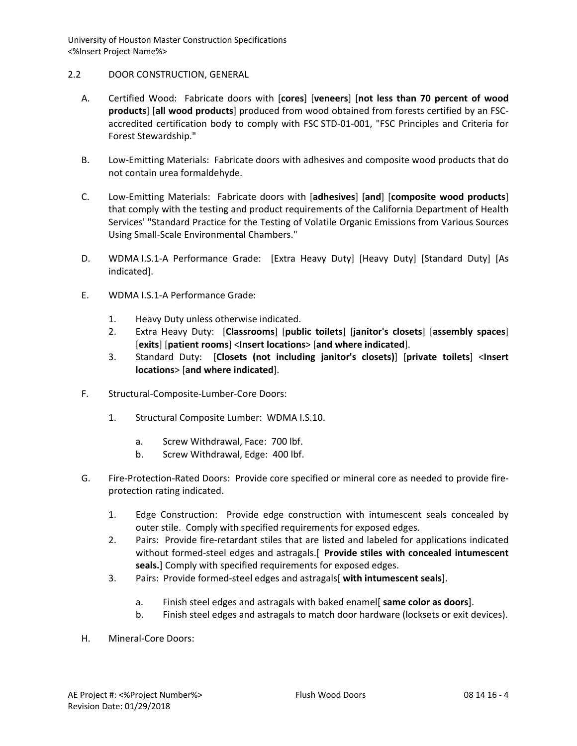# 2.2 DOOR CONSTRUCTION, GENERAL

- A. Certified Wood: Fabricate doors with [**cores**] [**veneers**] [**not less than 70 percent of wood products**] [**all wood products**] produced from wood obtained from forests certified by an FSCaccredited certification body to comply with FSC STD-01-001, "FSC Principles and Criteria for Forest Stewardship."
- B. Low-Emitting Materials: Fabricate doors with adhesives and composite wood products that do not contain urea formaldehyde.
- C. Low-Emitting Materials: Fabricate doors with [**adhesives**] [**and**] [**composite wood products**] that comply with the testing and product requirements of the California Department of Health Services' "Standard Practice for the Testing of Volatile Organic Emissions from Various Sources Using Small-Scale Environmental Chambers."
- D. WDMA I.S.1-A Performance Grade: [Extra Heavy Duty] [Heavy Duty] [Standard Duty] [As indicated].
- E. WDMA I.S.1-A Performance Grade:
	- 1. Heavy Duty unless otherwise indicated.
	- 2. Extra Heavy Duty: [**Classrooms**] [**public toilets**] [**janitor's closets**] [**assembly spaces**] [**exits**] [**patient rooms**] <**Insert locations**> [**and where indicated**].
	- 3. Standard Duty: [**Closets (not including janitor's closets)**] [**private toilets**] <**Insert locations**> [**and where indicated**].
- F. Structural-Composite-Lumber-Core Doors:
	- 1. Structural Composite Lumber: WDMA I.S.10.
		- a. Screw Withdrawal, Face: 700 lbf.
		- b. Screw Withdrawal, Edge: 400 lbf.
- G. Fire-Protection-Rated Doors: Provide core specified or mineral core as needed to provide fireprotection rating indicated.
	- 1. Edge Construction: Provide edge construction with intumescent seals concealed by outer stile. Comply with specified requirements for exposed edges.
	- 2. Pairs: Provide fire-retardant stiles that are listed and labeled for applications indicated without formed-steel edges and astragals.[ **Provide stiles with concealed intumescent seals.**] Comply with specified requirements for exposed edges.
	- 3. Pairs: Provide formed-steel edges and astragals[ **with intumescent seals**].
		- a. Finish steel edges and astragals with baked enamel[ **same color as doors**].
		- b. Finish steel edges and astragals to match door hardware (locksets or exit devices).
- H. Mineral-Core Doors: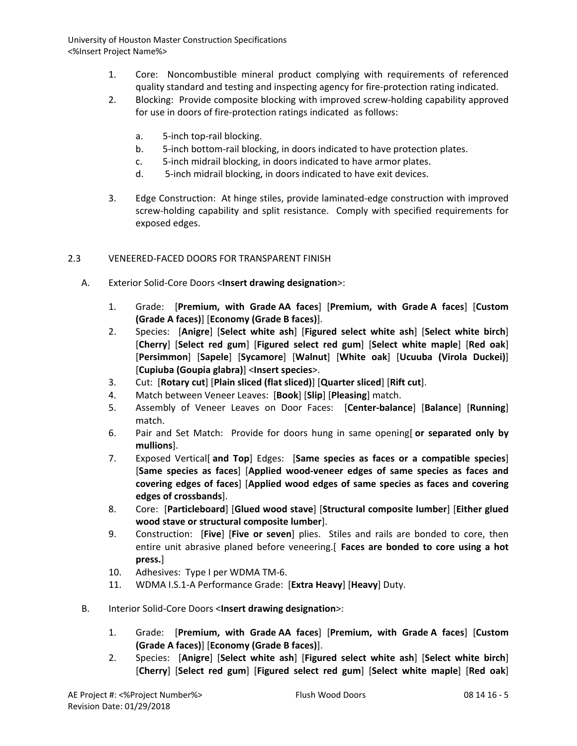- 1. Core: Noncombustible mineral product complying with requirements of referenced quality standard and testing and inspecting agency for fire-protection rating indicated.
- 2. Blocking: Provide composite blocking with improved screw-holding capability approved for use in doors of fire-protection ratings indicated as follows:
	- a. 5-inch top-rail blocking.
	- b. 5-inch bottom-rail blocking, in doors indicated to have protection plates.
	- c. 5-inch midrail blocking, in doors indicated to have armor plates.
	- d. 5-inch midrail blocking, in doors indicated to have exit devices.
- 3. Edge Construction: At hinge stiles, provide laminated-edge construction with improved screw-holding capability and split resistance. Comply with specified requirements for exposed edges.

# 2.3 VENEERED-FACED DOORS FOR TRANSPARENT FINISH

- A. Exterior Solid-Core Doors <**Insert drawing designation**>:
	- 1. Grade: [**Premium, with Grade AA faces**] [**Premium, with Grade A faces**] [**Custom (Grade A faces)**] [**Economy (Grade B faces)**].
	- 2. Species: [**Anigre**] [**Select white ash**] [**Figured select white ash**] [**Select white birch**] [**Cherry**] [**Select red gum**] [**Figured select red gum**] [**Select white maple**] [**Red oak**] [**Persimmon**] [**Sapele**] [**Sycamore**] [**Walnut**] [**White oak**] [**Ucuuba (Virola Duckei)**] [**Cupiuba (Goupia glabra)**] <**Insert species**>.
	- 3. Cut: [**Rotary cut**] [**Plain sliced (flat sliced)**] [**Quarter sliced**] [**Rift cut**].
	- 4. Match between Veneer Leaves: [**Book**] [**Slip**] [**Pleasing**] match.
	- 5. Assembly of Veneer Leaves on Door Faces: [**Center-balance**] [**Balance**] [**Running**] match.
	- 6. Pair and Set Match: Provide for doors hung in same opening[ **or separated only by mullions**].
	- 7. Exposed Vertical[ **and Top**] Edges: [**Same species as faces or a compatible species**] [**Same species as faces**] [**Applied wood-veneer edges of same species as faces and covering edges of faces**] [**Applied wood edges of same species as faces and covering edges of crossbands**].
	- 8. Core: [**Particleboard**] [**Glued wood stave**] [**Structural composite lumber**] [**Either glued wood stave or structural composite lumber**].
	- 9. Construction: [**Five**] [**Five or seven**] plies. Stiles and rails are bonded to core, then entire unit abrasive planed before veneering.[ **Faces are bonded to core using a hot press.**]
	- 10. Adhesives: Type I per WDMA TM-6.
	- 11. WDMA I.S.1-A Performance Grade: [**Extra Heavy**] [**Heavy**] Duty.
- B. Interior Solid-Core Doors <**Insert drawing designation**>:
	- 1. Grade: [**Premium, with Grade AA faces**] [**Premium, with Grade A faces**] [**Custom (Grade A faces)**] [**Economy (Grade B faces)**].
	- 2. Species: [**Anigre**] [**Select white ash**] [**Figured select white ash**] [**Select white birch**] [**Cherry**] [**Select red gum**] [**Figured select red gum**] [**Select white maple**] [**Red oak**]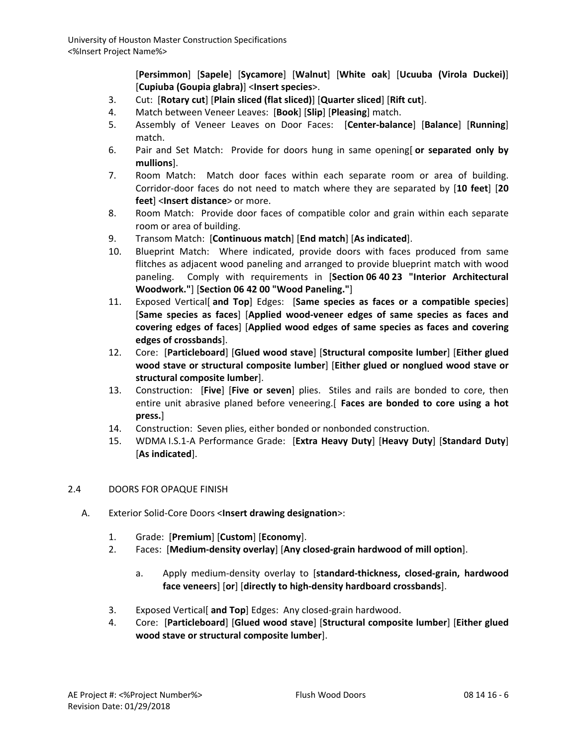[**Persimmon**] [**Sapele**] [**Sycamore**] [**Walnut**] [**White oak**] [**Ucuuba (Virola Duckei)**] [**Cupiuba (Goupia glabra)**] <**Insert species**>.

- 3. Cut: [**Rotary cut**] [**Plain sliced (flat sliced)**] [**Quarter sliced**] [**Rift cut**].
- 4. Match between Veneer Leaves: [**Book**] [**Slip**] [**Pleasing**] match.
- 5. Assembly of Veneer Leaves on Door Faces: [**Center-balance**] [**Balance**] [**Running**] match.
- 6. Pair and Set Match: Provide for doors hung in same opening[ **or separated only by mullions**].
- 7. Room Match: Match door faces within each separate room or area of building. Corridor-door faces do not need to match where they are separated by [**10 feet**] [**20 feet**] <**Insert distance**> or more.
- 8. Room Match: Provide door faces of compatible color and grain within each separate room or area of building.
- 9. Transom Match: [**Continuous match**] [**End match**] [**As indicated**].
- 10. Blueprint Match: Where indicated, provide doors with faces produced from same flitches as adjacent wood paneling and arranged to provide blueprint match with wood paneling. Comply with requirements in [**Section 06 40 23 "Interior Architectural Woodwork."**] [**Section 06 42 00 "Wood Paneling."**]
- 11. Exposed Vertical[ **and Top**] Edges: [**Same species as faces or a compatible species**] [**Same species as faces**] [**Applied wood-veneer edges of same species as faces and covering edges of faces**] [**Applied wood edges of same species as faces and covering edges of crossbands**].
- 12. Core: [**Particleboard**] [**Glued wood stave**] [**Structural composite lumber**] [**Either glued wood stave or structural composite lumber**] [**Either glued or nonglued wood stave or structural composite lumber**].
- 13. Construction: [**Five**] [**Five or seven**] plies. Stiles and rails are bonded to core, then entire unit abrasive planed before veneering.[ **Faces are bonded to core using a hot press.**]
- 14. Construction: Seven plies, either bonded or nonbonded construction.
- 15. WDMA I.S.1-A Performance Grade: [**Extra Heavy Duty**] [**Heavy Duty**] [**Standard Duty**] [**As indicated**].

# 2.4 DOORS FOR OPAQUE FINISH

- A. Exterior Solid-Core Doors <**Insert drawing designation**>:
	- 1. Grade: [**Premium**] [**Custom**] [**Economy**].
	- 2. Faces: [**Medium-density overlay**] [**Any closed-grain hardwood of mill option**].
		- a. Apply medium-density overlay to [**standard-thickness, closed-grain, hardwood face veneers**] [**or**] [**directly to high-density hardboard crossbands**].
	- 3. Exposed Vertical[ **and Top**] Edges: Any closed-grain hardwood.
	- 4. Core: [**Particleboard**] [**Glued wood stave**] [**Structural composite lumber**] [**Either glued wood stave or structural composite lumber**].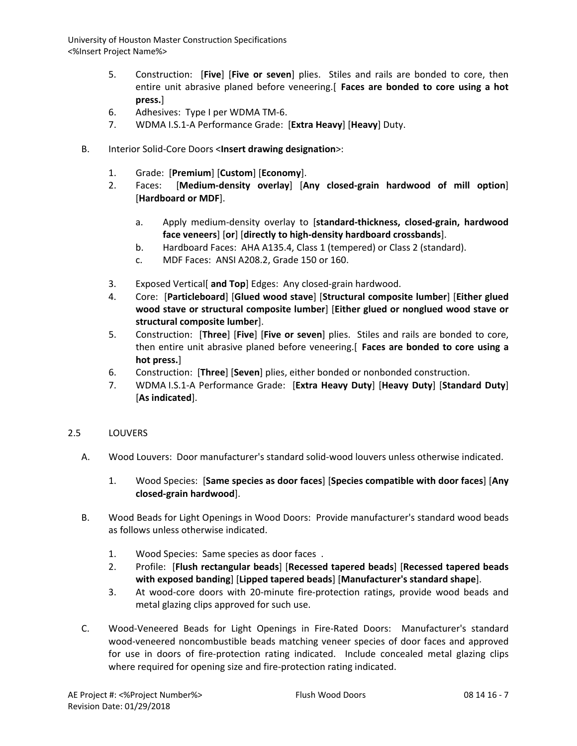- 5. Construction: [**Five**] [**Five or seven**] plies. Stiles and rails are bonded to core, then entire unit abrasive planed before veneering.[ **Faces are bonded to core using a hot press.**]
- 6. Adhesives: Type I per WDMA TM-6.
- 7. WDMA I.S.1-A Performance Grade: [**Extra Heavy**] [**Heavy**] Duty.
- B. Interior Solid-Core Doors <**Insert drawing designation**>:
	- 1. Grade: [**Premium**] [**Custom**] [**Economy**].
	- 2. Faces: [**Medium-density overlay**] [**Any closed-grain hardwood of mill option**] [**Hardboard or MDF**].
		- a. Apply medium-density overlay to [**standard-thickness, closed-grain, hardwood face veneers**] [**or**] [**directly to high-density hardboard crossbands**].
		- b. Hardboard Faces: AHA A135.4, Class 1 (tempered) or Class 2 (standard).
		- c. MDF Faces: ANSI A208.2, Grade 150 or 160.
	- 3. Exposed Vertical[ **and Top**] Edges: Any closed-grain hardwood.
	- 4. Core: [**Particleboard**] [**Glued wood stave**] [**Structural composite lumber**] [**Either glued wood stave or structural composite lumber**] [**Either glued or nonglued wood stave or structural composite lumber**].
	- 5. Construction: [**Three**] [**Five**] [**Five or seven**] plies. Stiles and rails are bonded to core, then entire unit abrasive planed before veneering.[ **Faces are bonded to core using a hot press.**]
	- 6. Construction: [**Three**] [**Seven**] plies, either bonded or nonbonded construction.
	- 7. WDMA I.S.1-A Performance Grade: [**Extra Heavy Duty**] [**Heavy Duty**] [**Standard Duty**] [**As indicated**].

# 2.5 LOUVERS

- A. Wood Louvers: Door manufacturer's standard solid-wood louvers unless otherwise indicated.
	- 1. Wood Species: [**Same species as door faces**] [**Species compatible with door faces**] [**Any closed-grain hardwood**].
- B. Wood Beads for Light Openings in Wood Doors: Provide manufacturer's standard wood beads as follows unless otherwise indicated.
	- 1. Wood Species: Same species as door faces .
	- 2. Profile: [**Flush rectangular beads**] [**Recessed tapered beads**] [**Recessed tapered beads with exposed banding**] [**Lipped tapered beads**] [**Manufacturer's standard shape**].
	- 3. At wood-core doors with 20-minute fire-protection ratings, provide wood beads and metal glazing clips approved for such use.
- C. Wood-Veneered Beads for Light Openings in Fire-Rated Doors: Manufacturer's standard wood-veneered noncombustible beads matching veneer species of door faces and approved for use in doors of fire-protection rating indicated. Include concealed metal glazing clips where required for opening size and fire-protection rating indicated.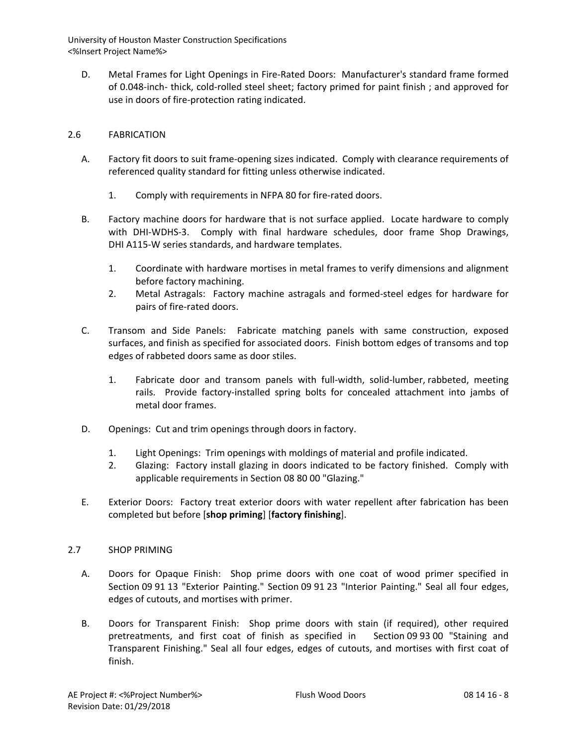D. Metal Frames for Light Openings in Fire-Rated Doors: Manufacturer's standard frame formed of 0.048-inch- thick, cold-rolled steel sheet; factory primed for paint finish ; and approved for use in doors of fire-protection rating indicated.

# 2.6 FABRICATION

- A. Factory fit doors to suit frame-opening sizes indicated. Comply with clearance requirements of referenced quality standard for fitting unless otherwise indicated.
	- 1. Comply with requirements in NFPA 80 for fire-rated doors.
- B. Factory machine doors for hardware that is not surface applied. Locate hardware to comply with DHI-WDHS-3. Comply with final hardware schedules, door frame Shop Drawings, DHI A115-W series standards, and hardware templates.
	- 1. Coordinate with hardware mortises in metal frames to verify dimensions and alignment before factory machining.
	- 2. Metal Astragals: Factory machine astragals and formed-steel edges for hardware for pairs of fire-rated doors.
- C. Transom and Side Panels: Fabricate matching panels with same construction, exposed surfaces, and finish as specified for associated doors. Finish bottom edges of transoms and top edges of rabbeted doors same as door stiles.
	- 1. Fabricate door and transom panels with full-width, solid-lumber, rabbeted, meeting rails. Provide factory-installed spring bolts for concealed attachment into jambs of metal door frames.
- D. Openings: Cut and trim openings through doors in factory.
	- 1. Light Openings: Trim openings with moldings of material and profile indicated.
	- 2. Glazing: Factory install glazing in doors indicated to be factory finished. Comply with applicable requirements in Section 08 80 00 "Glazing."
- E. Exterior Doors: Factory treat exterior doors with water repellent after fabrication has been completed but before [**shop priming**] [**factory finishing**].

# 2.7 SHOP PRIMING

- A. Doors for Opaque Finish: Shop prime doors with one coat of wood primer specified in Section 09 91 13 "Exterior Painting." Section 09 91 23 "Interior Painting." Seal all four edges, edges of cutouts, and mortises with primer.
- B. Doors for Transparent Finish: Shop prime doors with stain (if required), other required pretreatments, and first coat of finish as specified in Section 09 93 00 "Staining and Transparent Finishing." Seal all four edges, edges of cutouts, and mortises with first coat of finish.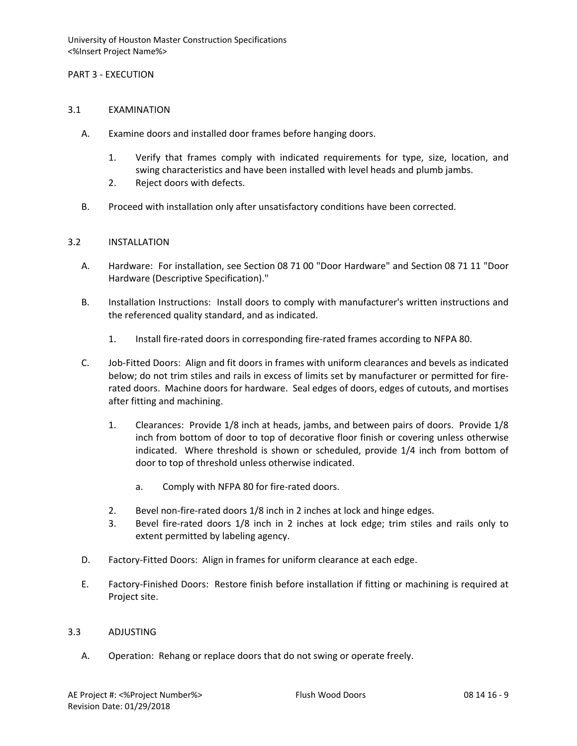### PART 3 - EXECUTION

#### 3.1 EXAMINATION

- A. Examine doors and installed door frames before hanging doors.
	- 1. Verify that frames comply with indicated requirements for type, size, location, and swing characteristics and have been installed with level heads and plumb jambs.
	- 2. Reject doors with defects.
- B. Proceed with installation only after unsatisfactory conditions have been corrected.

#### 3.2 INSTALLATION

- A. Hardware: For installation, see Section 08 71 00 "Door Hardware" and Section 08 71 11 "Door Hardware (Descriptive Specification)."
- B. Installation Instructions: Install doors to comply with manufacturer's written instructions and the referenced quality standard, and as indicated.
	- 1. Install fire-rated doors in corresponding fire-rated frames according to NFPA 80.
- C. Job-Fitted Doors: Align and fit doors in frames with uniform clearances and bevels as indicated below; do not trim stiles and rails in excess of limits set by manufacturer or permitted for firerated doors. Machine doors for hardware. Seal edges of doors, edges of cutouts, and mortises after fitting and machining.
	- 1. Clearances: Provide 1/8 inch at heads, jambs, and between pairs of doors. Provide 1/8 inch from bottom of door to top of decorative floor finish or covering unless otherwise indicated. Where threshold is shown or scheduled, provide 1/4 inch from bottom of door to top of threshold unless otherwise indicated.
		- a. Comply with NFPA 80 for fire-rated doors.
	- 2. Bevel non-fire-rated doors 1/8 inch in 2 inches at lock and hinge edges.
	- 3. Bevel fire-rated doors 1/8 inch in 2 inches at lock edge; trim stiles and rails only to extent permitted by labeling agency.
- D. Factory-Fitted Doors: Align in frames for uniform clearance at each edge.
- E. Factory-Finished Doors: Restore finish before installation if fitting or machining is required at Project site.

#### 3.3 ADJUSTING

A. Operation: Rehang or replace doors that do not swing or operate freely.